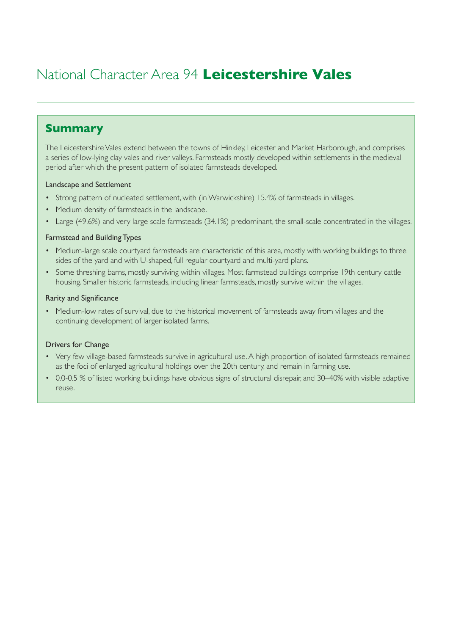# National Character Area 94 **Leicestershire Vales**

## **Summary**

The Leicestershire Vales extend between the towns of Hinkley, Leicester and Market Harborough, and comprises a series of low-lying clay vales and river valleys. Farmsteads mostly developed within settlements in the medieval period after which the present pattern of isolated farmsteads developed.

#### Landscape and Settlement

- Strong pattern of nucleated settlement, with (in Warwickshire) 15.4% of farmsteads in villages.
- Medium density of farmsteads in the landscape.
- Large (49.6%) and very large scale farmsteads (34.1%) predominant, the small-scale concentrated in the villages.

#### Farmstead and Building Types

- Medium-large scale courtyard farmsteads are characteristic of this area, mostly with working buildings to three sides of the yard and with U-shaped, full regular courtyard and multi-yard plans.
- Some threshing barns, mostly surviving within villages. Most farmstead buildings comprise 19th century cattle housing. Smaller historic farmsteads, including linear farmsteads, mostly survive within the villages.

#### Rarity and Significance

• Medium-low rates of survival, due to the historical movement of farmsteads away from villages and the continuing development of larger isolated farms.

#### Drivers for Change

- Very few village-based farmsteads survive in agricultural use. A high proportion of isolated farmsteads remained as the foci of enlarged agricultural holdings over the 20th century, and remain in farming use.
- 0.0-0.5 % of listed working buildings have obvious signs of structural disrepair, and 30–40% with visible adaptive reuse.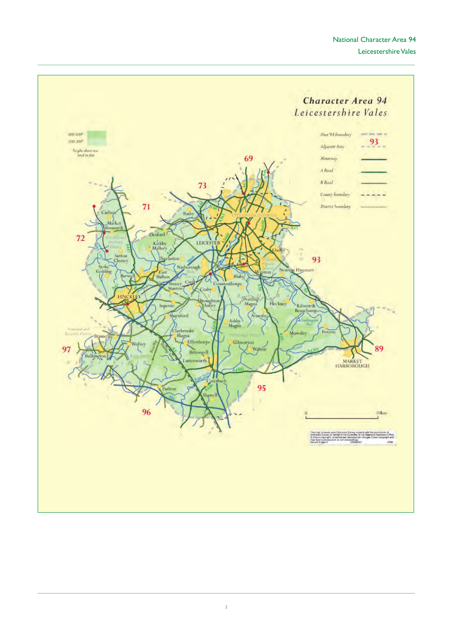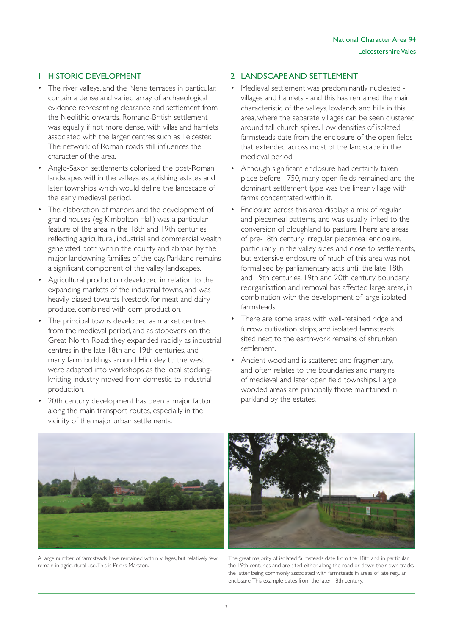#### 1 HISTORIC DEVELOPMENT

- The river valleys, and the Nene terraces in particular, contain a dense and varied array of archaeological evidence representing clearance and settlement from the Neolithic onwards. Romano-British settlement was equally if not more dense, with villas and hamlets associated with the larger centres such as Leicester. The network of Roman roads still influences the character of the area.
- Anglo-Saxon settlements colonised the post-Roman landscapes within the valleys, establishing estates and later townships which would define the landscape of the early medieval period.
- The elaboration of manors and the development of grand houses (eg Kimbolton Hall) was a particular feature of the area in the 18th and 19th centuries, reflecting agricultural, industrial and commercial wealth generated both within the county and abroad by the major landowning families of the day. Parkland remains a significant component of the valley landscapes.
- Agricultural production developed in relation to the expanding markets of the industrial towns, and was heavily biased towards livestock for meat and dairy produce, combined with corn production.
- The principal towns developed as market centres from the medieval period, and as stopovers on the Great North Road: they expanded rapidly as industrial centres in the late 18th and 19th centuries, and many farm buildings around Hinckley to the west were adapted into workshops as the local stockingknitting industry moved from domestic to industrial production.
- 20th century development has been a major factor along the main transport routes, especially in the vicinity of the major urban settlements.

#### 2 LANDSCAPE AND SETTLEMENT

- Medieval settlement was predominantly nucleated villages and hamlets - and this has remained the main characteristic of the valleys, lowlands and hills in this area, where the separate villages can be seen clustered around tall church spires. Low densities of isolated farmsteads date from the enclosure of the open fields that extended across most of the landscape in the medieval period.
- Although significant enclosure had certainly taken place before 1750, many open fields remained and the dominant settlement type was the linear village with farms concentrated within it.
- Enclosure across this area displays a mix of regular and piecemeal patterns, and was usually linked to the conversion of ploughland to pasture. There are areas of pre-18th century irregular piecemeal enclosure, particularly in the valley sides and close to settlements, but extensive enclosure of much of this area was not formalised by parliamentary acts until the late 18th and 19th centuries. 19th and 20th century boundary reorganisation and removal has affected large areas, in combination with the development of large isolated farmsteads.
- There are some areas with well-retained ridge and furrow cultivation strips, and isolated farmsteads sited next to the earthwork remains of shrunken settlement.
- Ancient woodland is scattered and fragmentary, and often relates to the boundaries and margins of medieval and later open field townships. Large wooded areas are principally those maintained in parkland by the estates.



A large number of farmsteads have remained within villages, but relatively few remain in agricultural use. This is Priors Marston.



The great majority of isolated farmsteads date from the 18th and in particular the 19th centuries and are sited either along the road or down their own tracks, the latter being commonly associated with farmsteads in areas of late regular enclosure.This example dates from the later 18th century.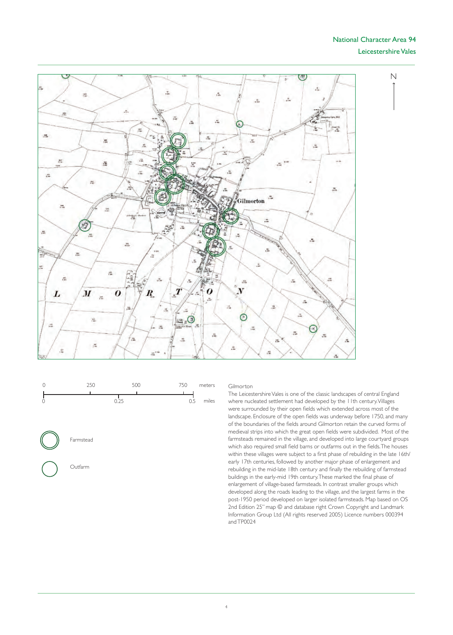#### National Character Area 94 Leicestershire Vales

 $\overline{\mathsf{N}}$ 







Outfarm

#### Gilmorton

The Leicestershire Vales is one of the classic landscapes of central England where nucleated settlement had developed by the 11th century.Villages were surrounded by their open fields which extended across most of the landscape. Enclosure of the open fields was underway before 1750, and many of the boundaries of the fields around Gilmorton retain the curved forms of medieval strips into which the great open fields were subdivided. Most of the farmsteads remained in the village, and developed into large courtyard groups which also required small field barns or outfarms out in the fields.The houses within these villages were subject to a first phase of rebuilding in the late 16th/ early 17th centuries, followed by another major phase of enlargement and rebuilding in the mid-late 18th century and finally the rebuilding of farmstead buildings in the early-mid 19th century.These marked the final phase of enlargement of village-based farmsteads. In contrast smaller groups which developed along the roads leading to the village, and the largest farms in the post-1950 period developed on larger isolated farmsteads. Map based on OS 2nd Edition 25" map © and database right Crown Copyright and Landmark Information Group Ltd (All rights reserved 2005) Licence numbers 000394 andTP0024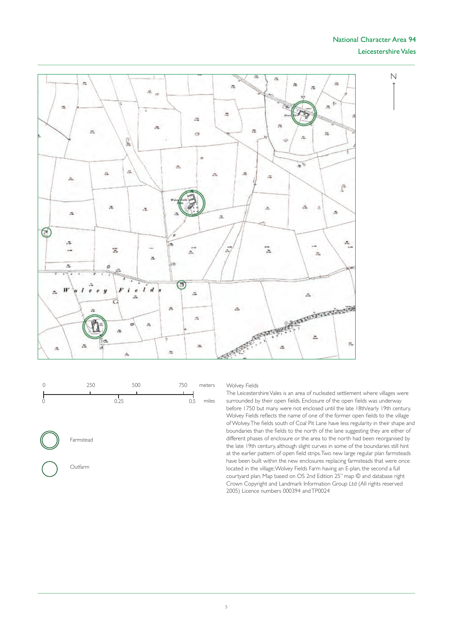#### National Character Area 94 Leicestershire Vales

 $\overline{\mathsf{N}}$ 







Outfarm

Wolvey Fields

The Leicestershire Vales is an area of nucleated settlement where villages were surrounded by their open fields. Enclosure of the open fields was underway before 1750 but many were not enclosed until the late 18th/early 19th century. Wolvey Fields reflects the name of one of the former open fields to the village of Wolvey.The fields south of Coal Pit Lane have less regularity in their shape and boundaries than the fields to the north of the lane suggesting they are either of different phases of enclosure or the area to the north had been reorganised by the late 19th century, although slight curves in some of the boundaries still hint at the earlier pattern of open field strips.Two new large regular plan farmsteads have been built within the new enclosures replacing farmsteads that were once located in the village;Wolvey Fields Farm having an E-plan, the second a full cour tyard plan. Map based on OS 2nd Edition 25" map © and database right Crown Copyright and Landmark Information Group Ltd (All rights reserved 2005) Licence numbers 000394 andTP0024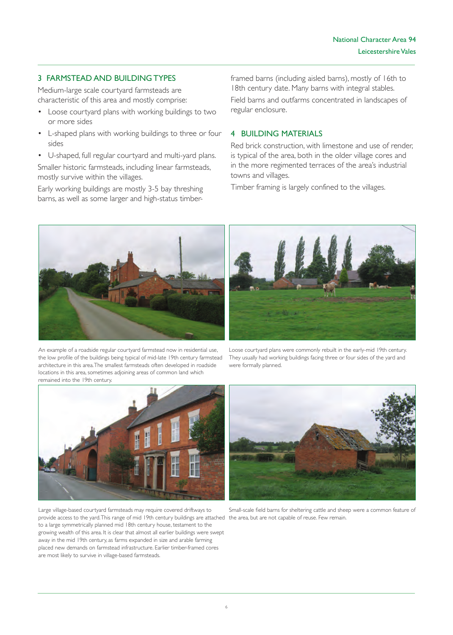### 3 FARMSTEAD AND BUILDING TYPES

Medium-large scale courtyard farmsteads are characteristic of this area and mostly comprise:

- Loose courtyard plans with working buildings to two or more sides
- • L-shaped plans with working buildings to three or four sides

• U-shaped, full regular cour tyard and multi-yard plans. Smaller historic farmsteads, including linear farmsteads, mostly survive within the villages.

Early working buildings are mostly 3-5 bay threshing barns, as well as some larger and high-status timberframed barns (including aisled barns), mostly of 16th to 18th century date. Many barns with integral stables. Field barns and outfarms concentrated in landscapes of regular enclosure.

#### 4 BUILDING MATERIALS

Red brick construction, with limestone and use of render, is typical of the area, both in the older village cores and in the more regimented terraces of the area's industrial towns and villages.

Timber framing is largely confined to the villages.



An example of a roadside regular courtyard farmstead now in residential use, the low profile of the buildings being typical of mid-late 19th century farmstead architecture in this area. The smallest farmsteads often developed in roadside locations in this area, sometimes adjoining areas of common land which remained into the 19th century.



Loose cour tyard plans were commonly rebuilt in the early-mid 19th century. They usually had working buildings facing three or four sides of the yard and were formally planned.



provide access to the yard. This range of mid 19th century buildings are attached the area, but are not capable of reuse. Few remain. Large village-based courtyard farmsteads may require covered driftways to to a large symmetrically planned mid 18th century house, testament to the growing wealth of this area. It is clear that almost all earlier buildings were swept away in the mid 19th century, as farms expanded in size and arable farming placed new demands on farmstead infrastructure. Earlier timber-framed cores are most likely to survive in village-based farmsteads.



Small-scale field barns for sheltering cattle and sheep were a common feature of